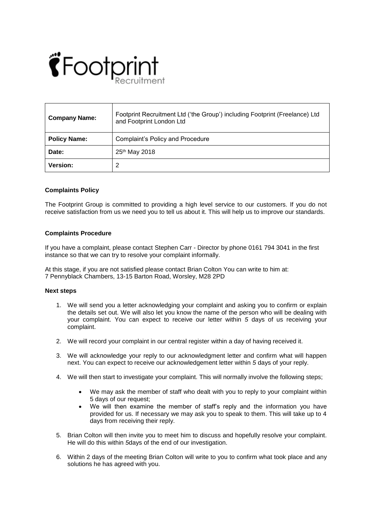

| <b>Company Name:</b> | Footprint Recruitment Ltd ('the Group') including Footprint (Freelance) Ltd<br>and Footprint London Ltd |
|----------------------|---------------------------------------------------------------------------------------------------------|
| <b>Policy Name:</b>  | Complaint's Policy and Procedure                                                                        |
| Date:                | 25 <sup>th</sup> May 2018                                                                               |
| <b>Version:</b>      | 2                                                                                                       |

## **Complaints Policy**

The Footprint Group is committed to providing a high level service to our customers. If you do not receive satisfaction from us we need you to tell us about it. This will help us to improve our standards.

## **Complaints Procedure**

If you have a complaint, please contact Stephen Carr - Director by phone 0161 794 3041 in the first instance so that we can try to resolve your complaint informally.

At this stage, if you are not satisfied please contact Brian Colton You can write to him at: 7 Pennyblack Chambers, 13-15 Barton Road, Worsley, M28 2PD

## **Next steps**

- 1. We will send you a letter acknowledging your complaint and asking you to confirm or explain the details set out. We will also let you know the name of the person who will be dealing with your complaint. You can expect to receive our letter within *5* days of us receiving your complaint.
- 2. We will record your complaint in our central register within a day of having received it.
- 3. We will acknowledge your reply to our acknowledgment letter and confirm what will happen next. You can expect to receive our acknowledgement letter within *5* days of your reply.
- 4. We will then start to investigate your complaint. This will normally involve the following steps;
	- We may ask the member of staff who dealt with you to reply to your complaint within 5 days of our request;
	- We will then examine the member of staff's reply and the information you have provided for us. If necessary we may ask you to speak to them. This will take up to 4 days from receiving their reply.
- 5. Brian Colton will then invite you to meet him to discuss and hopefully resolve your complaint. He will do this within *5*days of the end of our investigation.
- 6. Within 2 days of the meeting Brian Colton will write to you to confirm what took place and any solutions he has agreed with you.